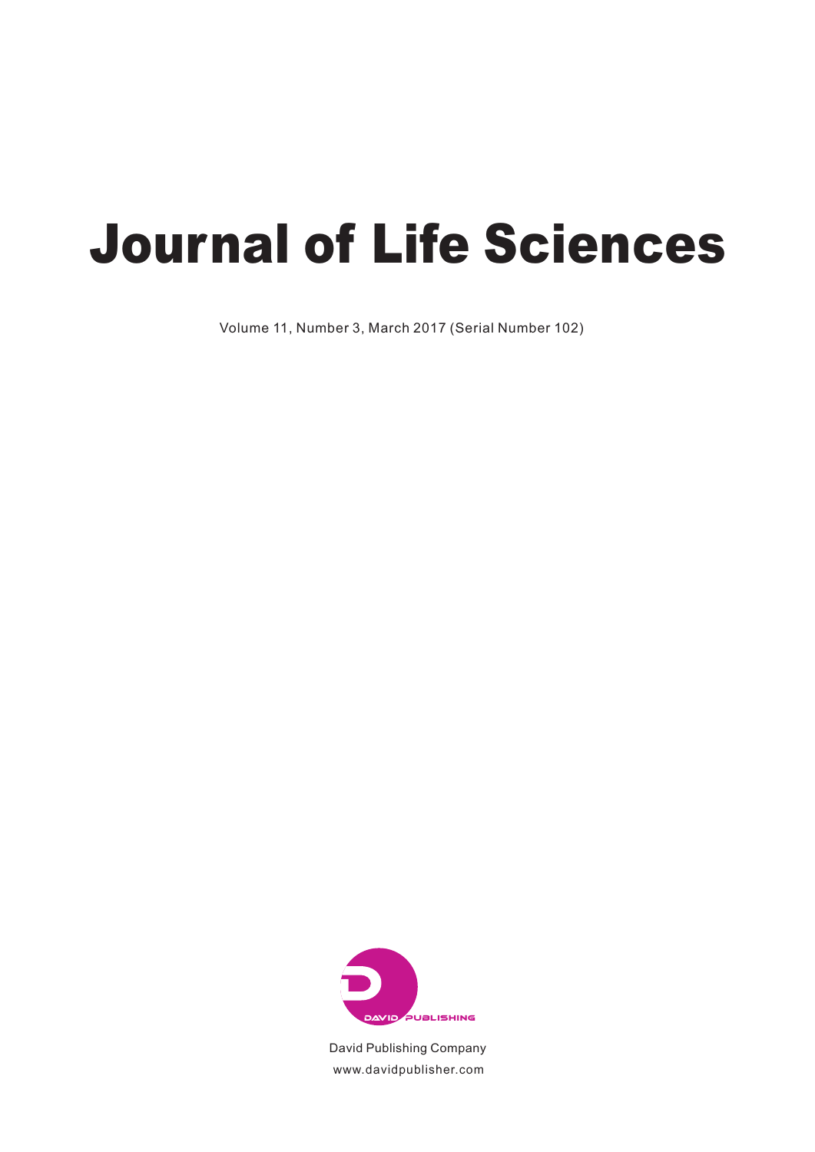# *Journal of Life Sciences*

Volume 11, Number 3, March 2017 (Serial Number 102)



David Publishing Company www.davidpublisher.com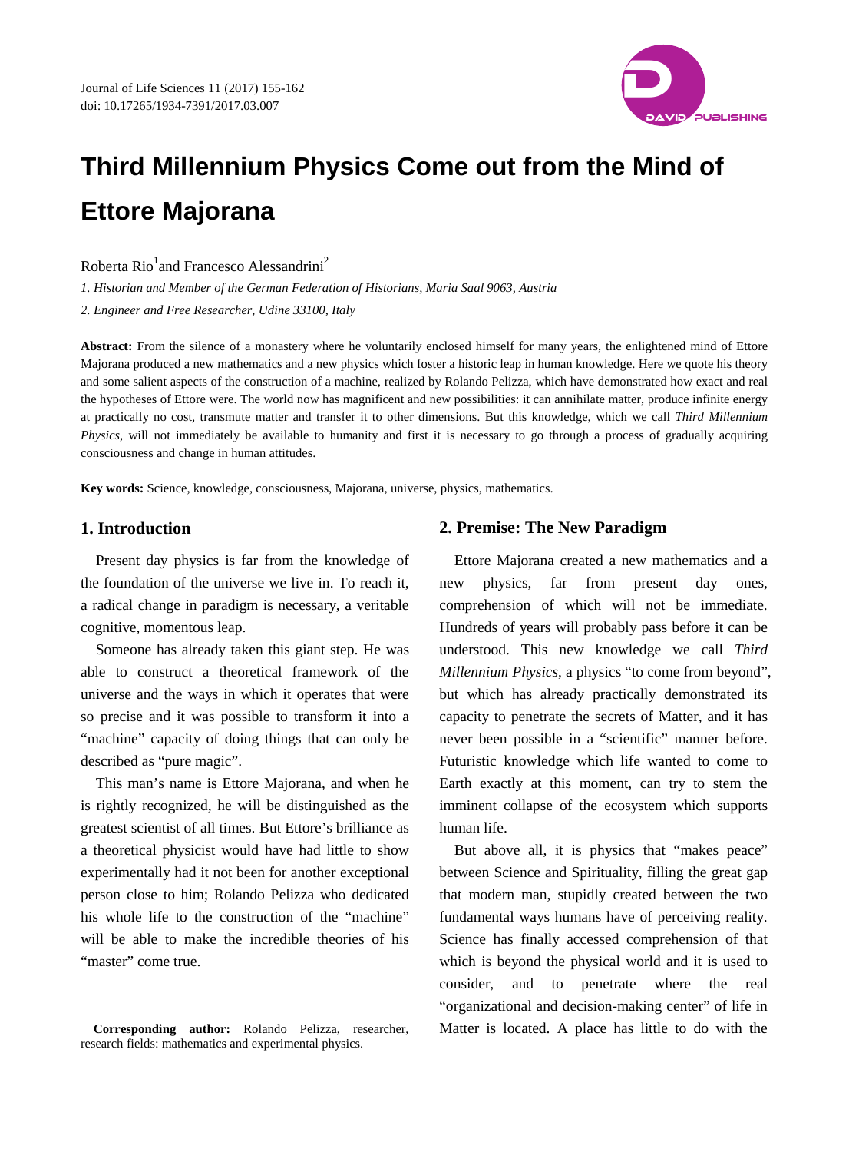

# **Third Millennium Physics Come out from the Mind of Ettore Majorana**

Roberta Rio<sup>1</sup>and Francesco Alessandrini<sup>2</sup>

*1. Historian and Member of the German Federation of Historians, Maria Saal 9063, Austria*

*2. Engineer and Free Researcher, Udine 33100, Italy*

**Abstract:** From the silence of a monastery where he voluntarily enclosed himself for many years, the enlightened mind of Ettore Majorana produced a new mathematics and a new physics which foster a historic leap in human knowledge. Here we quote his theory and some salient aspects of the construction of a machine, realized by Rolando Pelizza, which have demonstrated how exact and real the hypotheses of Ettore were. The world now has magnificent and new possibilities: it can annihilate matter, produce infinite energy at practically no cost, transmute matter and transfer it to other dimensions. But this knowledge, which we call *Third Millennium Physics*, will not immediately be available to humanity and first it is necessary to go through a process of gradually acquiring consciousness and change in human attitudes.

**Key words:** Science, knowledge, consciousness, Majorana, universe, physics, mathematics.

#### **1. Introduction**

-

Present day physics is far from the knowledge of the foundation of the universe we live in. To reach it, a radical change in paradigm is necessary, a veritable cognitive, momentous leap.

Someone has already taken this giant step. He was able to construct a theoretical framework of the universe and the ways in which it operates that were so precise and it was possible to transform it into a "machine" capacity of doing things that can only be described as "pure magic".

This man's name is Ettore Majorana, and when he is rightly recognized, he will be distinguished as the greatest scientist of all times. But Ettore's brilliance as a theoretical physicist would have had little to show experimentally had it not been for another exceptional person close to him; Rolando Pelizza who dedicated his whole life to the construction of the "machine" will be able to make the incredible theories of his "master" come true.

## **2. Premise: The New Paradigm**

Ettore Majorana created a new mathematics and a new physics, far from present day ones, comprehension of which will not be immediate. Hundreds of years will probably pass before it can be understood. This new knowledge we call *Third Millennium Physics*, a physics "to come from beyond", but which has already practically demonstrated its capacity to penetrate the secrets of Matter, and it has never been possible in a "scientific" manner before. Futuristic knowledge which life wanted to come to Earth exactly at this moment, can try to stem the imminent collapse of the ecosystem which supports human life.

But above all, it is physics that "makes peace" between Science and Spirituality, filling the great gap that modern man, stupidly created between the two fundamental ways humans have of perceiving reality. Science has finally accessed comprehension of that which is beyond the physical world and it is used to consider, and to penetrate where the real "organizational and decision-making center" of life in Matter is located. A place has little to do with the

<span id="page-1-0"></span>**Corresponding author:** Rolando Pelizza, researcher, research fields: mathematics and experimental physics.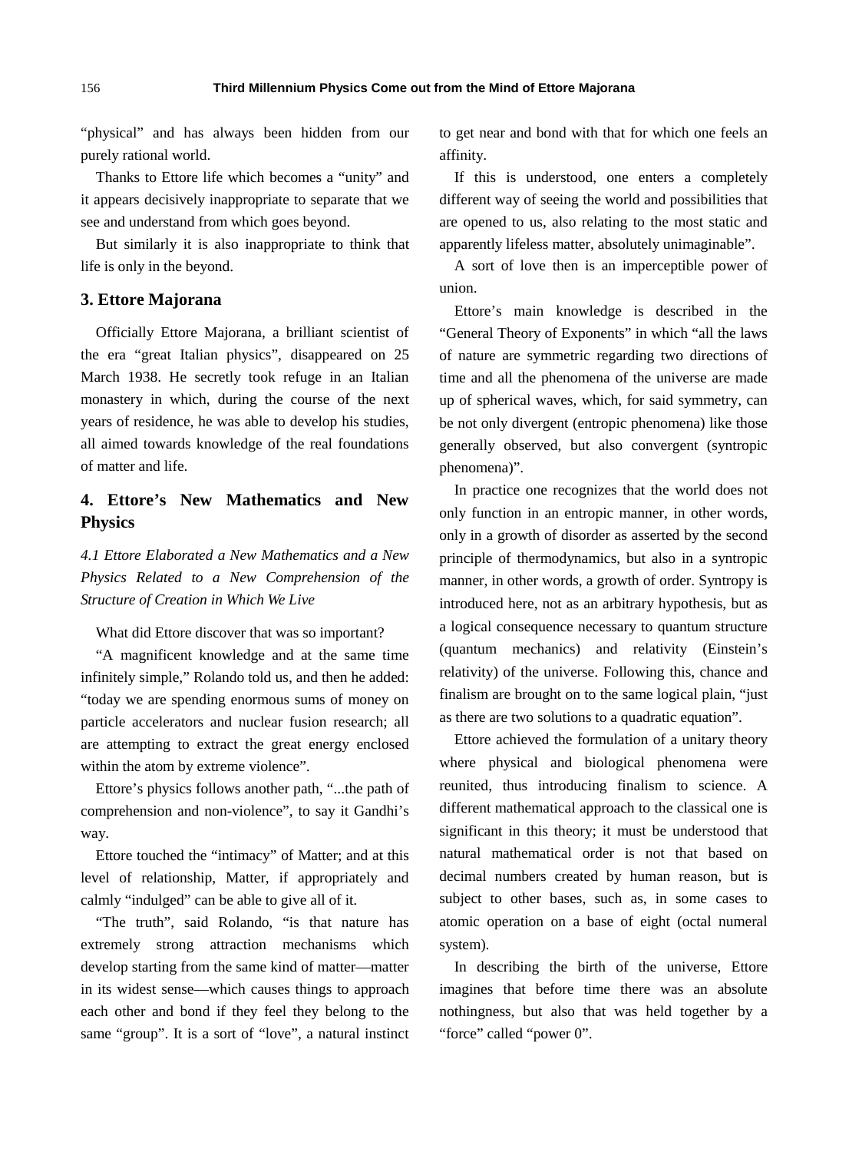"physical" and has always been hidden from our purely rational world.

Thanks to Ettore life which becomes a "unity" and it appears decisively inappropriate to separate that we see and understand from which goes beyond.

But similarly it is also inappropriate to think that life is only in the beyond.

# **3. Ettore Majorana**

Officially Ettore Majorana, a brilliant scientist of the era "great Italian physics", disappeared on 25 March 1938. He secretly took refuge in an Italian monastery in which, during the course of the next years of residence, he was able to develop his studies, all aimed towards knowledge of the real foundations of matter and life.

# **4. Ettore's New Mathematics and New Physics**

*4.1 Ettore Elaborated a New Mathematics and a New Physics Related to a New Comprehension of the Structure of Creation in Which We Live*

What did Ettore discover that was so important?

"A magnificent knowledge and at the same time infinitely simple," Rolando told us, and then he added: "today we are spending enormous sums of money on particle accelerators and nuclear fusion research; all are attempting to extract the great energy enclosed within the atom by extreme violence".

Ettore's physics follows another path, "...the path of comprehension and non-violence", to say it Gandhi's way.

Ettore touched the "intimacy" of Matter; and at this level of relationship, Matter, if appropriately and calmly "indulged" can be able to give all of it.

"The truth", said Rolando, "is that nature has extremely strong attraction mechanisms which develop starting from the same kind of matter—matter in its widest sense—which causes things to approach each other and bond if they feel they belong to the same "group". It is a sort of "love", a natural instinct to get near and bond with that for which one feels an affinity.

If this is understood, one enters a completely different way of seeing the world and possibilities that are opened to us, also relating to the most static and apparently lifeless matter, absolutely unimaginable".

A sort of love then is an imperceptible power of union.

Ettore's main knowledge is described in the "General Theory of Exponents" in which "all the laws of nature are symmetric regarding two directions of time and all the phenomena of the universe are made up of spherical waves, which, for said symmetry, can be not only divergent (entropic phenomena) like those generally observed, but also convergent (syntropic phenomena)".

In practice one recognizes that the world does not only function in an entropic manner, in other words, only in a growth of disorder as asserted by the second principle of thermodynamics, but also in a syntropic manner, in other words, a growth of order. Syntropy is introduced here, not as an arbitrary hypothesis, but as a logical consequence necessary to quantum structure (quantum mechanics) and relativity (Einstein's relativity) of the universe. Following this, chance and finalism are brought on to the same logical plain, "just as there are two solutions to a quadratic equation".

Ettore achieved the formulation of a unitary theory where physical and biological phenomena were reunited, thus introducing finalism to science. A different mathematical approach to the classical one is significant in this theory; it must be understood that natural mathematical order is not that based on decimal numbers created by human reason, but is subject to other bases, such as, in some cases to atomic operation on a base of eight (octal numeral system).

In describing the birth of the universe, Ettore imagines that before time there was an absolute nothingness, but also that was held together by a "force" called "power 0".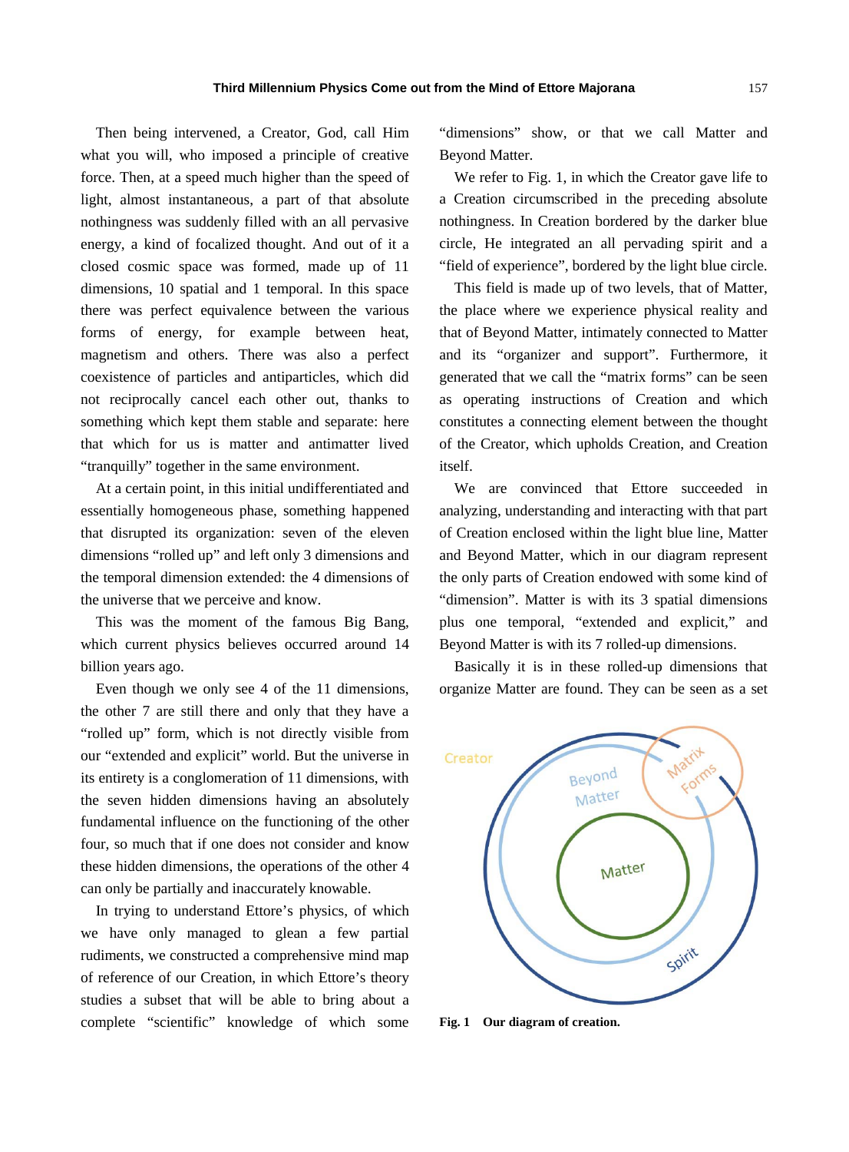Then being intervened, a Creator, God, call Him what you will, who imposed a principle of creative force. Then, at a speed much higher than the speed of light, almost instantaneous, a part of that absolute nothingness was suddenly filled with an all pervasive energy, a kind of focalized thought. And out of it a closed cosmic space was formed, made up of 11 dimensions, 10 spatial and 1 temporal. In this space there was perfect equivalence between the various forms of energy, for example between heat, magnetism and others. There was also a perfect coexistence of particles and antiparticles, which did not reciprocally cancel each other out, thanks to something which kept them stable and separate: here that which for us is matter and antimatter lived "tranquilly" together in the same environment.

At a certain point, in this initial undifferentiated and essentially homogeneous phase, something happened that disrupted its organization: seven of the eleven dimensions "rolled up" and left only 3 dimensions and the temporal dimension extended: the 4 dimensions of the universe that we perceive and know.

This was the moment of the famous Big Bang, which current physics believes occurred around 14 billion years ago.

Even though we only see 4 of the 11 dimensions, the other 7 are still there and only that they have a "rolled up" form, which is not directly visible from our "extended and explicit" world. But the universe in its entirety is a conglomeration of 11 dimensions, with the seven hidden dimensions having an absolutely fundamental influence on the functioning of the other four, so much that if one does not consider and know these hidden dimensions, the operations of the other 4 can only be partially and inaccurately knowable.

In trying to understand Ettore's physics, of which we have only managed to glean a few partial rudiments, we constructed a comprehensive mind map of reference of our Creation, in which Ettore's theory studies a subset that will be able to bring about a complete "scientific" knowledge of which some "dimensions" show, or that we call Matter and Beyond Matter.

We refer to Fig. 1, in which the Creator gave life to a Creation circumscribed in the preceding absolute nothingness. In Creation bordered by the darker blue circle, He integrated an all pervading spirit and a "field of experience", bordered by the light blue circle.

This field is made up of two levels, that of Matter, the place where we experience physical reality and that of Beyond Matter, intimately connected to Matter and its "organizer and support". Furthermore, it generated that we call the "matrix forms" can be seen as operating instructions of Creation and which constitutes a connecting element between the thought of the Creator, which upholds Creation, and Creation itself.

We are convinced that Ettore succeeded in analyzing, understanding and interacting with that part of Creation enclosed within the light blue line, Matter and Beyond Matter, which in our diagram represent the only parts of Creation endowed with some kind of "dimension". Matter is with its 3 spatial dimensions plus one temporal, "extended and explicit," and Beyond Matter is with its 7 rolled-up dimensions.

Basically it is in these rolled-up dimensions that organize Matter are found. They can be seen as a set



**Fig. 1 Our diagram of creation.**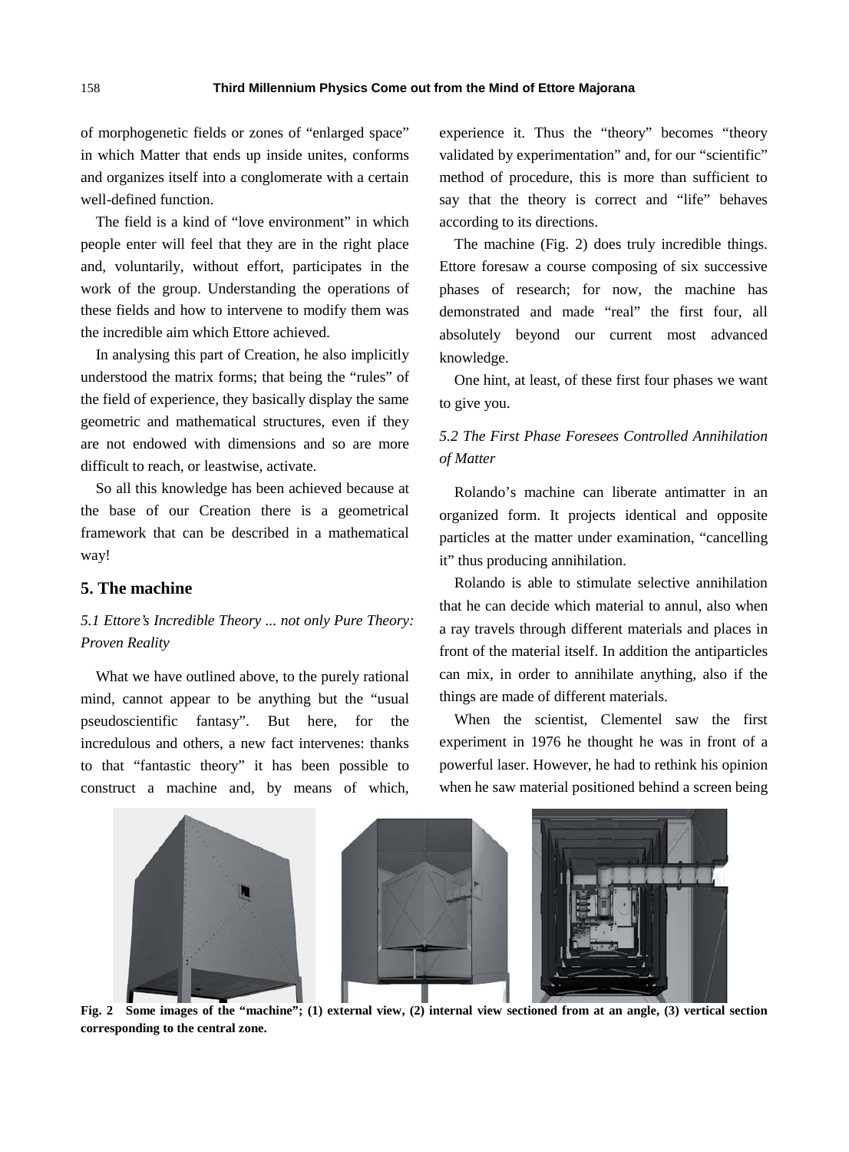of morphogenetic fields or zones of "enlarged space" in which Matter that ends up inside unites, conforms and organizes itself into a conglomerate with a certain well-defined function.

The field is a kind of "love environment" in which people enter will feel that they are in the right place and, voluntarily, without effort, participates in the work of the group. Understanding the operations of these fields and how to intervene to modify them was the incredible aim which Ettore achieved.

In analysing this part of Creation, he also implicitly understood the matrix forms; that being the "rules" of the field of experience, they basically display the same geometric and mathematical structures, even if they are not endowed with dimensions and so are more difficult to reach, or leastwise, activate.

So all this knowledge has been achieved because at the base of our Creation there is a geometrical framework that can be described in a mathematical way!

# **5. The machine**

# *5.1 Ettore's Incredible Theory ... not only Pure Theory: Proven Reality*

What we have outlined above, to the purely rational mind, cannot appear to be anything but the "usual pseudoscientific fantasy". But here, for the incredulous and others, a new fact intervenes: thanks to that "fantastic theory" it has been possible to construct a machine and, by means of which, experience it. Thus the "theory" becomes "theory validated by experimentation" and, for our "scientific" method of procedure, this is more than sufficient to say that the theory is correct and "life" behaves according to its directions.

The machine (Fig. 2) does truly incredible things. Ettore foresaw a course composing of six successive phases of research; for now, the machine has demonstrated and made "real" the first four, all absolutely beyond our current most advanced knowledge.

One hint, at least, of these first four phases we want to give you.

# *5.2 The First Phase Foresees Controlled Annihilation of Matter*

Rolando's machine can liberate antimatter in an organized form. It projects identical and opposite particles at the matter under examination, "cancelling it" thus producing annihilation.

Rolando is able to stimulate selective annihilation that he can decide which material to annul, also when a ray travels through different materials and places in front of the material itself. In addition the antiparticles can mix, in order to annihilate anything, also if the things are made of different materials.

When the scientist, Clementel saw the first experiment in 1976 he thought he was in front of a powerful laser. However, he had to rethink his opinion when he saw material positioned behind a screen being



**Fig. 2 Some images of the "machine"; (1) external view, (2) internal view sectioned from at an angle, (3) vertical section corresponding to the central zone.**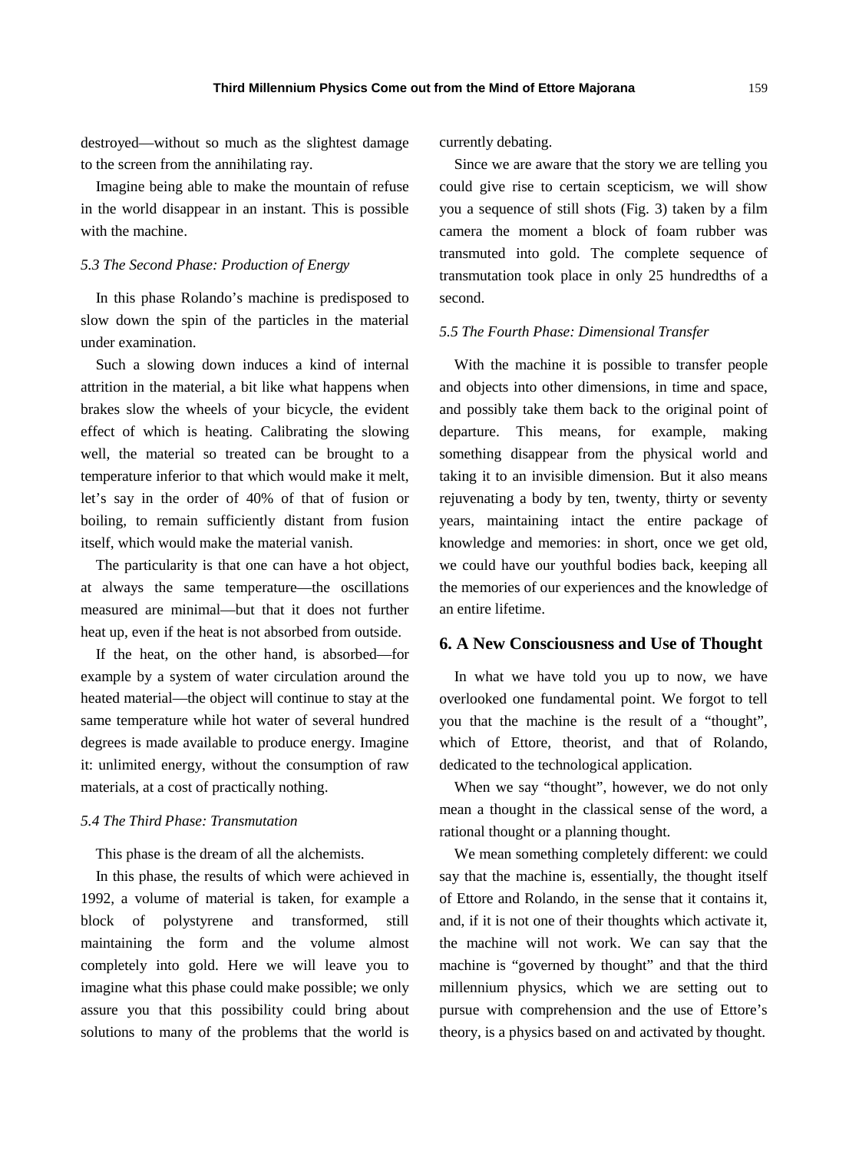destroyed—without so much as the slightest damage to the screen from the annihilating ray.

Imagine being able to make the mountain of refuse in the world disappear in an instant. This is possible with the machine.

#### *5.3 The Second Phase: Production of Energy*

In this phase Rolando's machine is predisposed to slow down the spin of the particles in the material under examination.

Such a slowing down induces a kind of internal attrition in the material, a bit like what happens when brakes slow the wheels of your bicycle, the evident effect of which is heating. Calibrating the slowing well, the material so treated can be brought to a temperature inferior to that which would make it melt, let's say in the order of 40% of that of fusion or boiling, to remain sufficiently distant from fusion itself, which would make the material vanish.

The particularity is that one can have a hot object, at always the same temperature—the oscillations measured are minimal—but that it does not further heat up, even if the heat is not absorbed from outside.

If the heat, on the other hand, is absorbed—for example by a system of water circulation around the heated material—the object will continue to stay at the same temperature while hot water of several hundred degrees is made available to produce energy. Imagine it: unlimited energy, without the consumption of raw materials, at a cost of practically nothing.

#### *5.4 The Third Phase: Transmutation*

This phase is the dream of all the alchemists.

In this phase, the results of which were achieved in 1992, a volume of material is taken, for example a block of polystyrene and transformed, still maintaining the form and the volume almost completely into gold. Here we will leave you to imagine what this phase could make possible; we only assure you that this possibility could bring about solutions to many of the problems that the world is currently debating.

Since we are aware that the story we are telling you could give rise to certain scepticism, we will show you a sequence of still shots (Fig. 3) taken by a film camera the moment a block of foam rubber was transmuted into gold. The complete sequence of transmutation took place in only 25 hundredths of a second.

#### *5.5 The Fourth Phase: Dimensional Transfer*

With the machine it is possible to transfer people and objects into other dimensions, in time and space, and possibly take them back to the original point of departure. This means, for example, making something disappear from the physical world and taking it to an invisible dimension. But it also means rejuvenating a body by ten, twenty, thirty or seventy years, maintaining intact the entire package of knowledge and memories: in short, once we get old, we could have our youthful bodies back, keeping all the memories of our experiences and the knowledge of an entire lifetime.

# **6. A New Consciousness and Use of Thought**

In what we have told you up to now, we have overlooked one fundamental point. We forgot to tell you that the machine is the result of a "thought", which of Ettore, theorist, and that of Rolando, dedicated to the technological application.

When we say "thought", however, we do not only mean a thought in the classical sense of the word, a rational thought or a planning thought.

We mean something completely different: we could say that the machine is, essentially, the thought itself of Ettore and Rolando, in the sense that it contains it, and, if it is not one of their thoughts which activate it, the machine will not work. We can say that the machine is "governed by thought" and that the third millennium physics, which we are setting out to pursue with comprehension and the use of Ettore's theory, is a physics based on and activated by thought.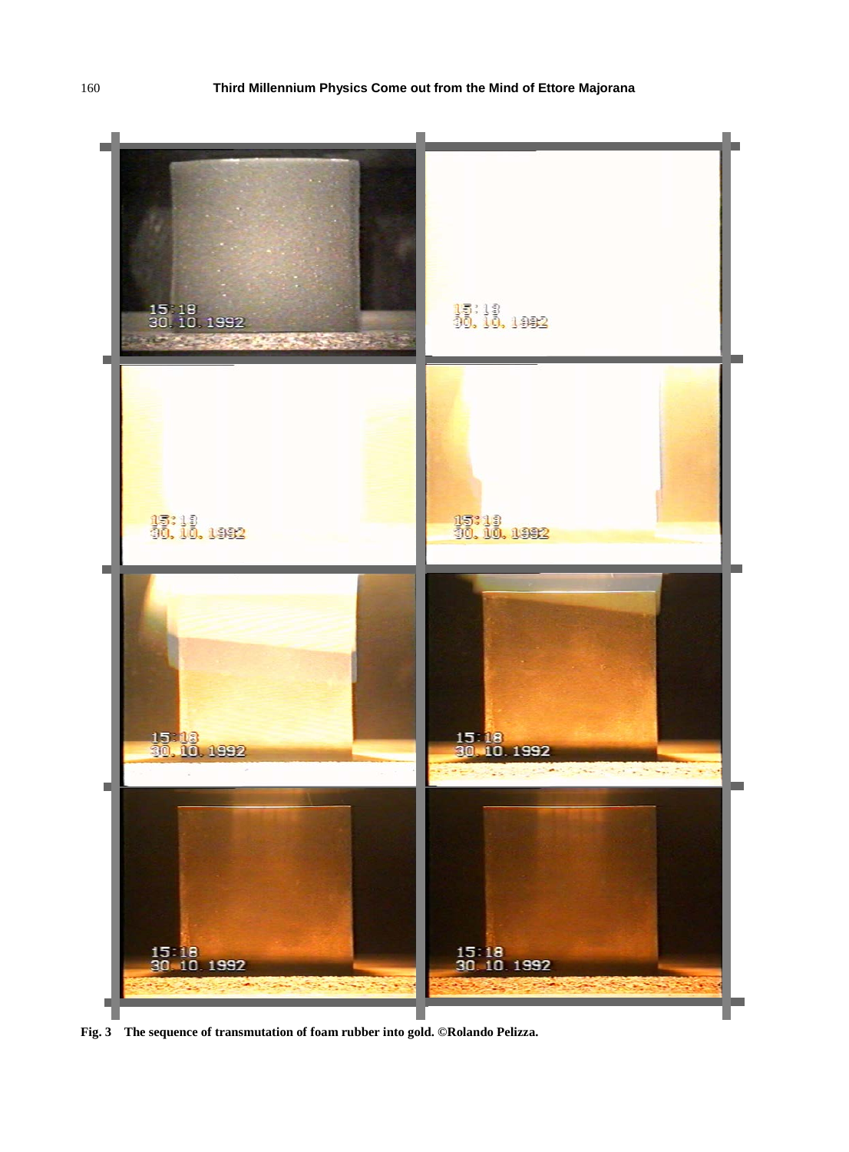

**Fig. 3 The sequence of transmutation of foam rubber into gold. ©Rolando Pelizza.**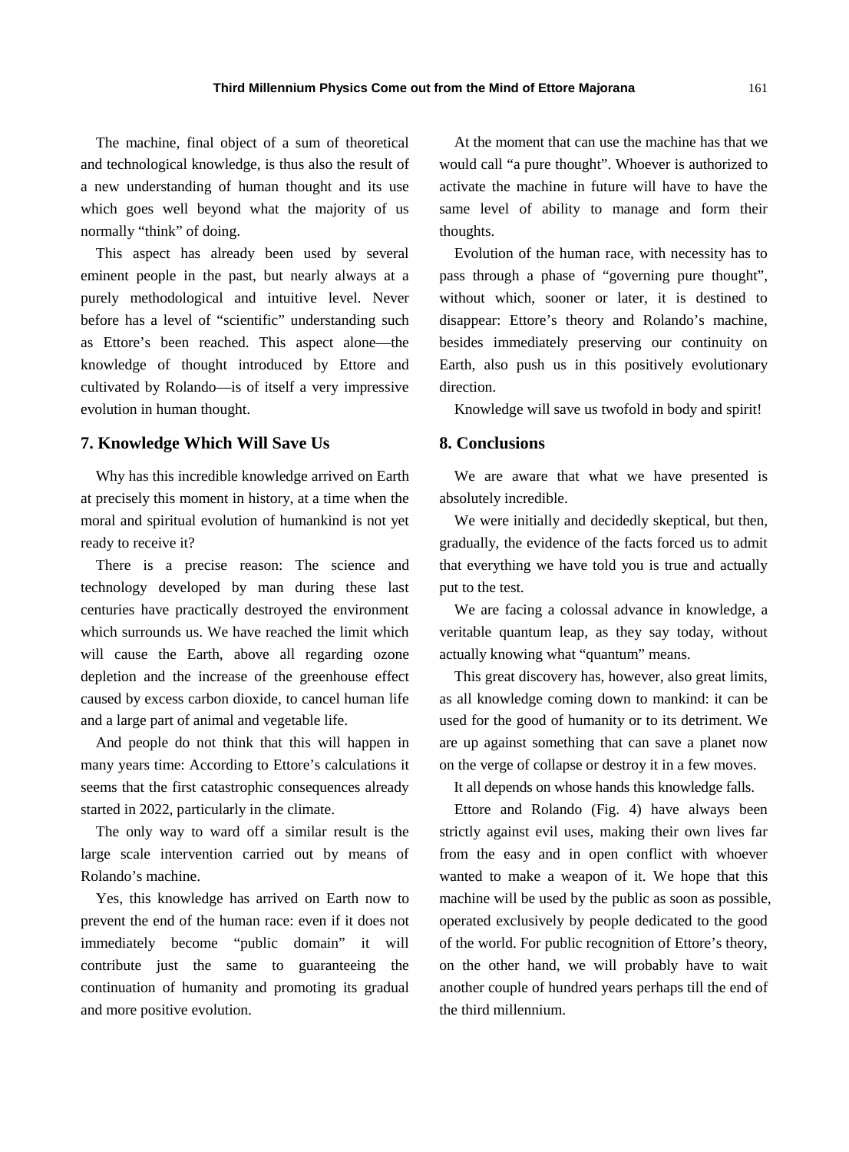The machine, final object of a sum of theoretical and technological knowledge, is thus also the result of a new understanding of human thought and its use which goes well beyond what the majority of us normally "think" of doing.

This aspect has already been used by several eminent people in the past, but nearly always at a purely methodological and intuitive level. Never before has a level of "scientific" understanding such as Ettore's been reached. This aspect alone—the knowledge of thought introduced by Ettore and cultivated by Rolando—is of itself a very impressive evolution in human thought.

# **7. Knowledge Which Will Save Us**

Why has this incredible knowledge arrived on Earth at precisely this moment in history, at a time when the moral and spiritual evolution of humankind is not yet ready to receive it?

There is a precise reason: The science and technology developed by man during these last centuries have practically destroyed the environment which surrounds us. We have reached the limit which will cause the Earth, above all regarding ozone depletion and the increase of the greenhouse effect caused by excess carbon dioxide, to cancel human life and a large part of animal and vegetable life.

And people do not think that this will happen in many years time: According to Ettore's calculations it seems that the first catastrophic consequences already started in 2022, particularly in the climate.

The only way to ward off a similar result is the large scale intervention carried out by means of Rolando's machine.

Yes, this knowledge has arrived on Earth now to prevent the end of the human race: even if it does not immediately become "public domain" it will contribute just the same to guaranteeing the continuation of humanity and promoting its gradual and more positive evolution.

At the moment that can use the machine has that we would call "a pure thought". Whoever is authorized to activate the machine in future will have to have the same level of ability to manage and form their thoughts.

Evolution of the human race, with necessity has to pass through a phase of "governing pure thought", without which, sooner or later, it is destined to disappear: Ettore's theory and Rolando's machine, besides immediately preserving our continuity on Earth, also push us in this positively evolutionary direction.

Knowledge will save us twofold in body and spirit!

# **8. Conclusions**

We are aware that what we have presented is absolutely incredible.

We were initially and decidedly skeptical, but then, gradually, the evidence of the facts forced us to admit that everything we have told you is true and actually put to the test.

We are facing a colossal advance in knowledge, a veritable quantum leap, as they say today, without actually knowing what "quantum" means.

This great discovery has, however, also great limits, as all knowledge coming down to mankind: it can be used for the good of humanity or to its detriment. We are up against something that can save a planet now on the verge of collapse or destroy it in a few moves.

It all depends on whose hands this knowledge falls.

Ettore and Rolando (Fig. 4) have always been strictly against evil uses, making their own lives far from the easy and in open conflict with whoever wanted to make a weapon of it. We hope that this machine will be used by the public as soon as possible, operated exclusively by people dedicated to the good of the world. For public recognition of Ettore's theory, on the other hand, we will probably have to wait another couple of hundred years perhaps till the end of the third millennium.